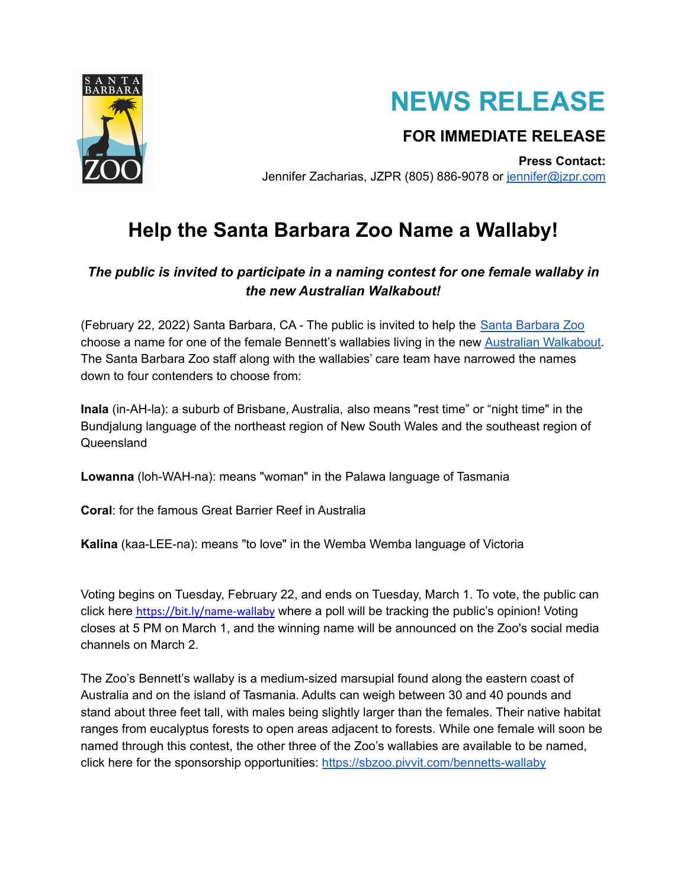



## **FOR IMMEDIATE RELEASE**

**Press Contact:** Jennifer Zacharias, JZPR (805) 886-9078 or [jennifer@jzpr.com](mailto:jennifer@jzpr.com)

## **Help the Santa Barbara Zoo Name a Wallaby!**

## *The public is invited to participate in a naming contest for one female wallaby in the new Australian Walkabout!*

(February 22, 2022) Santa Barbara, CA - The public is invited to help the Santa [Barbara](https://www.sbzoo.org/) Zoo choose a name for one of the female Bennett's wallabies living in the new Australian [Walkabout.](https://www.sbzoo.org/support/australian-walkabout/) The Santa Barbara Zoo staff along with the wallabies' care team have narrowed the names down to four contenders to choose from:

**Inala** (in-AH-la): a suburb of Brisbane, Australia, also means "rest time" or "night time" in the Bundjalung language of the northeast region of New South Wales and the southeast region of Queensland

**Lowanna** (loh-WAH-na): means "woman" in the Palawa language of Tasmania

**Coral**: for the famous Great Barrier Reef in Australia

**Kalina** (kaa-LEE-na): means "to love" in the Wemba Wemba language of Victoria

Voting begins on Tuesday, February 22, and ends on Tuesday, March 1. To vote, the public can click here <https://bit.ly/name-wallaby> where a poll will be tracking the public's opinion! Voting closes at 5 PM on March 1, and the winning name will be announced on the Zoo's social media channels on March 2.

The Zoo's Bennett's wallaby is a medium-sized marsupial found along the eastern coast of Australia and on the island of Tasmania. Adults can weigh between 30 and 40 pounds and stand about three feet tall, with males being slightly larger than the females. Their native habitat ranges from eucalyptus forests to open areas adjacent to forests. While one female will soon be named through this contest, the other three of the Zoo's wallabies are available to be named, click here for the sponsorship opportunities: <https://sbzoo.pivvit.com/bennetts-wallaby>